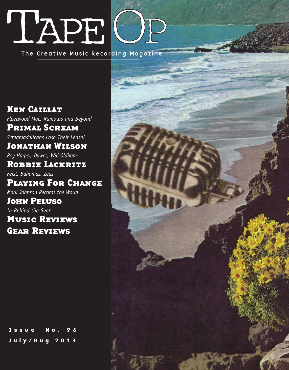## TAPE

The Creative Music Recording Magazine

**KEN CAILLAT** Ken Caillat *Fleetwood Mac, Rumours and Beyond* **PRIMAL SCREAM** Primal Scream *Screamadelicans Lose Their Lease!* **JONATHAN WILSON** Jonathan Wilson *Roy Harper, Dawes, Will Oldham* **ROBBIE LACKRITZ** Robbie Lackritz *Feist, Bahamas, Zeus* **PLAYING FOR CHANGE** Playing For Change *Mark Johnson Records the World* **JOHN PELUSO** John Peluso *In Behind the Gear* **MUSIC REVIEWS GEAR REVIEWS** 

Issue No. July/Aug 2013